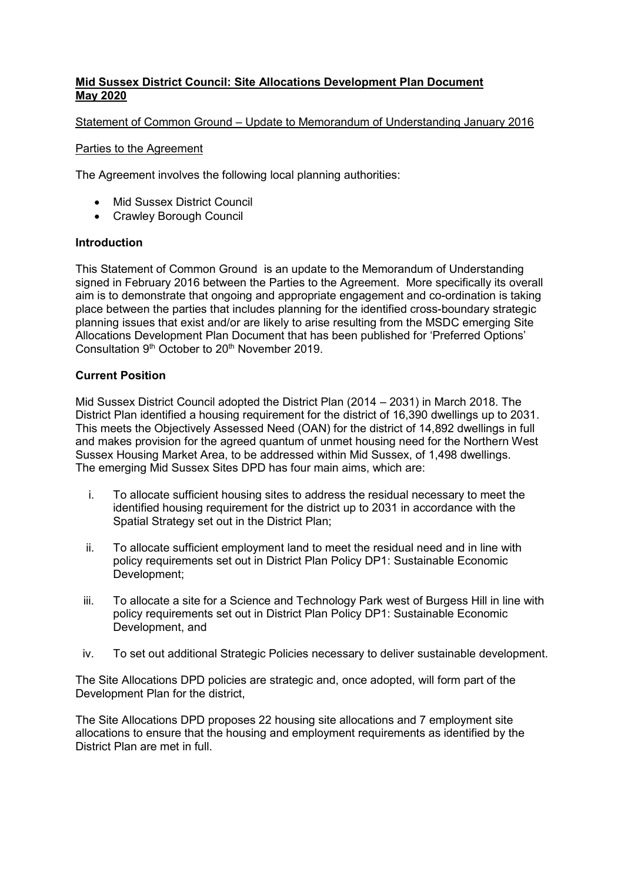## **Mid Sussex District Council: Site Allocations Development Plan Document May 2020**

### Statement of Common Ground – Update to Memorandum of Understanding January 2016

#### Parties to the Agreement

The Agreement involves the following local planning authorities:

- Mid Sussex District Council
- Crawley Borough Council

### **Introduction**

This Statement of Common Ground is an update to the Memorandum of Understanding signed in February 2016 between the Parties to the Agreement. More specifically its overall aim is to demonstrate that ongoing and appropriate engagement and co-ordination is taking place between the parties that includes planning for the identified cross-boundary strategic planning issues that exist and/or are likely to arise resulting from the MSDC emerging Site Allocations Development Plan Document that has been published for 'Preferred Options' Consultation 9<sup>th</sup> October to 20<sup>th</sup> November 2019.

### **Current Position**

Mid Sussex District Council adopted the District Plan (2014 – 2031) in March 2018. The District Plan identified a housing requirement for the district of 16,390 dwellings up to 2031. This meets the Objectively Assessed Need (OAN) for the district of 14,892 dwellings in full and makes provision for the agreed quantum of unmet housing need for the Northern West Sussex Housing Market Area, to be addressed within Mid Sussex, of 1,498 dwellings. The emerging Mid Sussex Sites DPD has four main aims, which are:

- i. To allocate sufficient housing sites to address the residual necessary to meet the identified housing requirement for the district up to 2031 in accordance with the Spatial Strategy set out in the District Plan;
- ii. To allocate sufficient employment land to meet the residual need and in line with policy requirements set out in District Plan Policy DP1: Sustainable Economic Development;
- iii. To allocate a site for a Science and Technology Park west of Burgess Hill in line with policy requirements set out in District Plan Policy DP1: Sustainable Economic Development, and
- iv. To set out additional Strategic Policies necessary to deliver sustainable development.

The Site Allocations DPD policies are strategic and, once adopted, will form part of the Development Plan for the district,

The Site Allocations DPD proposes 22 housing site allocations and 7 employment site allocations to ensure that the housing and employment requirements as identified by the District Plan are met in full.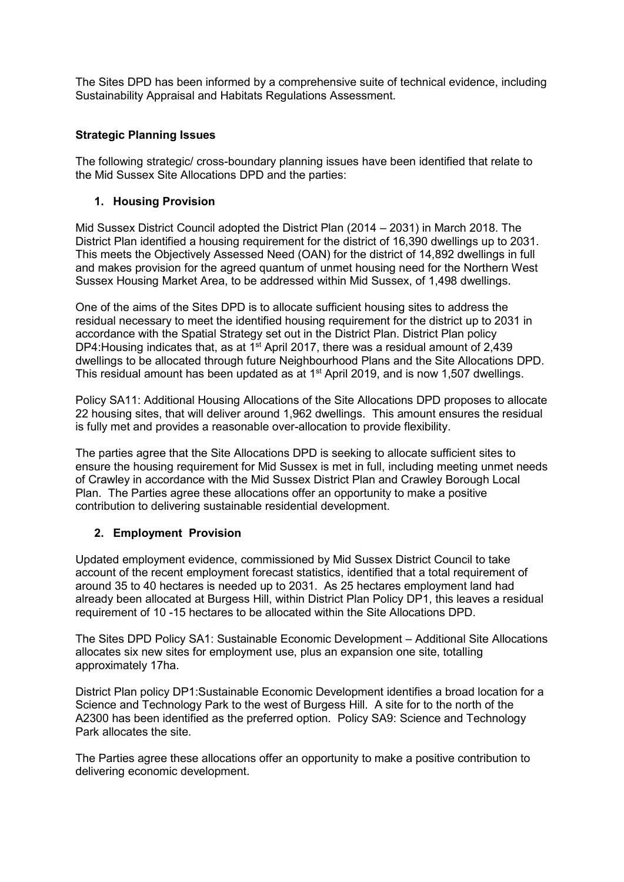The Sites DPD has been informed by a comprehensive suite of technical evidence, including Sustainability Appraisal and Habitats Regulations Assessment.

## **Strategic Planning Issues**

The following strategic/ cross-boundary planning issues have been identified that relate to the Mid Sussex Site Allocations DPD and the parties:

### **1. Housing Provision**

Mid Sussex District Council adopted the District Plan (2014 – 2031) in March 2018. The District Plan identified a housing requirement for the district of 16,390 dwellings up to 2031. This meets the Objectively Assessed Need (OAN) for the district of 14,892 dwellings in full and makes provision for the agreed quantum of unmet housing need for the Northern West Sussex Housing Market Area, to be addressed within Mid Sussex, of 1,498 dwellings.

One of the aims of the Sites DPD is to allocate sufficient housing sites to address the residual necessary to meet the identified housing requirement for the district up to 2031 in accordance with the Spatial Strategy set out in the District Plan. District Plan policy DP4: Housing indicates that, as at  $1<sup>st</sup>$  April 2017, there was a residual amount of 2,439 dwellings to be allocated through future Neighbourhood Plans and the Site Allocations DPD. This residual amount has been updated as at  $1<sup>st</sup>$  April 2019, and is now 1,507 dwellings.

Policy SA11: Additional Housing Allocations of the Site Allocations DPD proposes to allocate 22 housing sites, that will deliver around 1,962 dwellings. This amount ensures the residual is fully met and provides a reasonable over-allocation to provide flexibility.

The parties agree that the Site Allocations DPD is seeking to allocate sufficient sites to ensure the housing requirement for Mid Sussex is met in full, including meeting unmet needs of Crawley in accordance with the Mid Sussex District Plan and Crawley Borough Local Plan. The Parties agree these allocations offer an opportunity to make a positive contribution to delivering sustainable residential development.

# **2. Employment Provision**

Updated employment evidence, commissioned by Mid Sussex District Council to take account of the recent employment forecast statistics, identified that a total requirement of around 35 to 40 hectares is needed up to 2031. As 25 hectares employment land had already been allocated at Burgess Hill, within District Plan Policy DP1, this leaves a residual requirement of 10 -15 hectares to be allocated within the Site Allocations DPD.

The Sites DPD Policy SA1: Sustainable Economic Development – Additional Site Allocations allocates six new sites for employment use, plus an expansion one site, totalling approximately 17ha.

District Plan policy DP1:Sustainable Economic Development identifies a broad location for a Science and Technology Park to the west of Burgess Hill. A site for to the north of the A2300 has been identified as the preferred option. Policy SA9: Science and Technology Park allocates the site.

The Parties agree these allocations offer an opportunity to make a positive contribution to delivering economic development.